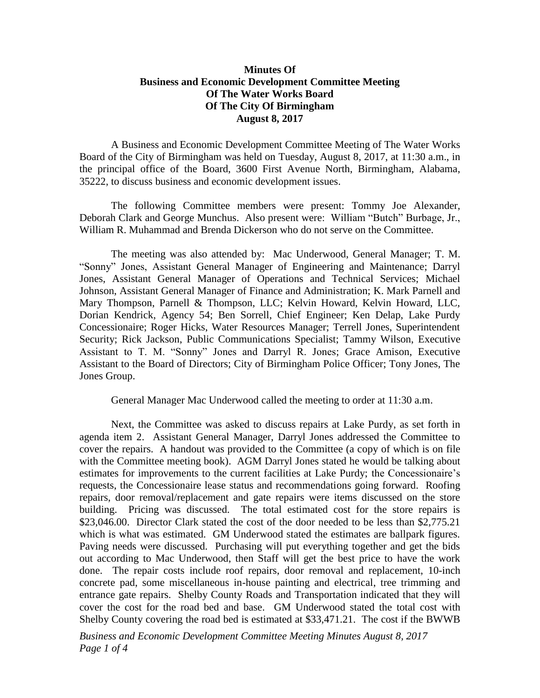## **Minutes Of Business and Economic Development Committee Meeting Of The Water Works Board Of The City Of Birmingham August 8, 2017**

A Business and Economic Development Committee Meeting of The Water Works Board of the City of Birmingham was held on Tuesday, August 8, 2017, at 11:30 a.m., in the principal office of the Board, 3600 First Avenue North, Birmingham, Alabama, 35222, to discuss business and economic development issues.

The following Committee members were present: Tommy Joe Alexander, Deborah Clark and George Munchus. Also present were: William "Butch" Burbage, Jr., William R. Muhammad and Brenda Dickerson who do not serve on the Committee.

The meeting was also attended by: Mac Underwood, General Manager; T. M. "Sonny" Jones, Assistant General Manager of Engineering and Maintenance; Darryl Jones, Assistant General Manager of Operations and Technical Services; Michael Johnson, Assistant General Manager of Finance and Administration; K. Mark Parnell and Mary Thompson, Parnell & Thompson, LLC; Kelvin Howard, Kelvin Howard, LLC, Dorian Kendrick, Agency 54; Ben Sorrell, Chief Engineer; Ken Delap, Lake Purdy Concessionaire; Roger Hicks, Water Resources Manager; Terrell Jones, Superintendent Security; Rick Jackson, Public Communications Specialist; Tammy Wilson, Executive Assistant to T. M. "Sonny" Jones and Darryl R. Jones; Grace Amison, Executive Assistant to the Board of Directors; City of Birmingham Police Officer; Tony Jones, The Jones Group.

General Manager Mac Underwood called the meeting to order at 11:30 a.m.

Next, the Committee was asked to discuss repairs at Lake Purdy, as set forth in agenda item 2. Assistant General Manager, Darryl Jones addressed the Committee to cover the repairs. A handout was provided to the Committee (a copy of which is on file with the Committee meeting book). AGM Darryl Jones stated he would be talking about estimates for improvements to the current facilities at Lake Purdy; the Concessionaire's requests, the Concessionaire lease status and recommendations going forward. Roofing repairs, door removal/replacement and gate repairs were items discussed on the store building. Pricing was discussed. The total estimated cost for the store repairs is \$23,046.00. Director Clark stated the cost of the door needed to be less than \$2,775.21 which is what was estimated. GM Underwood stated the estimates are ballpark figures. Paving needs were discussed. Purchasing will put everything together and get the bids out according to Mac Underwood, then Staff will get the best price to have the work done. The repair costs include roof repairs, door removal and replacement, 10-inch concrete pad, some miscellaneous in-house painting and electrical, tree trimming and entrance gate repairs. Shelby County Roads and Transportation indicated that they will cover the cost for the road bed and base. GM Underwood stated the total cost with Shelby County covering the road bed is estimated at \$33,471.21. The cost if the BWWB

*Business and Economic Development Committee Meeting Minutes August 8, 2017 Page 1 of 4*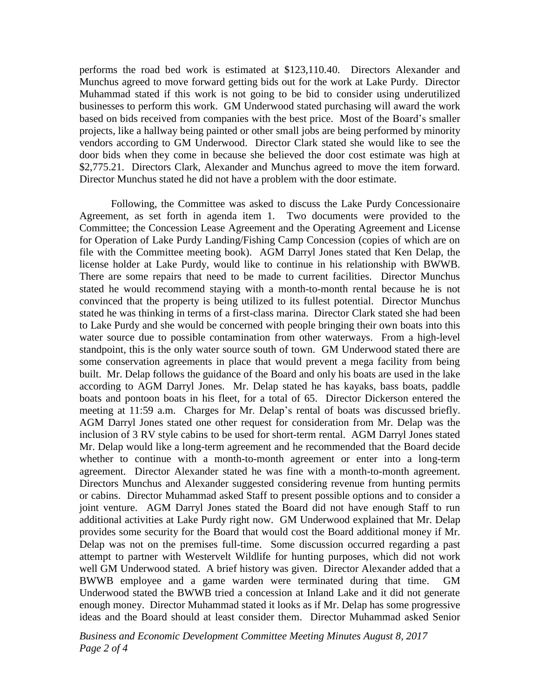performs the road bed work is estimated at \$123,110.40. Directors Alexander and Munchus agreed to move forward getting bids out for the work at Lake Purdy. Director Muhammad stated if this work is not going to be bid to consider using underutilized businesses to perform this work. GM Underwood stated purchasing will award the work based on bids received from companies with the best price. Most of the Board's smaller projects, like a hallway being painted or other small jobs are being performed by minority vendors according to GM Underwood. Director Clark stated she would like to see the door bids when they come in because she believed the door cost estimate was high at \$2,775.21. Directors Clark, Alexander and Munchus agreed to move the item forward. Director Munchus stated he did not have a problem with the door estimate.

Following, the Committee was asked to discuss the Lake Purdy Concessionaire Agreement, as set forth in agenda item 1. Two documents were provided to the Committee; the Concession Lease Agreement and the Operating Agreement and License for Operation of Lake Purdy Landing/Fishing Camp Concession (copies of which are on file with the Committee meeting book). AGM Darryl Jones stated that Ken Delap, the license holder at Lake Purdy, would like to continue in his relationship with BWWB. There are some repairs that need to be made to current facilities. Director Munchus stated he would recommend staying with a month-to-month rental because he is not convinced that the property is being utilized to its fullest potential. Director Munchus stated he was thinking in terms of a first-class marina. Director Clark stated she had been to Lake Purdy and she would be concerned with people bringing their own boats into this water source due to possible contamination from other waterways. From a high-level standpoint, this is the only water source south of town. GM Underwood stated there are some conservation agreements in place that would prevent a mega facility from being built. Mr. Delap follows the guidance of the Board and only his boats are used in the lake according to AGM Darryl Jones. Mr. Delap stated he has kayaks, bass boats, paddle boats and pontoon boats in his fleet, for a total of 65. Director Dickerson entered the meeting at 11:59 a.m. Charges for Mr. Delap's rental of boats was discussed briefly. AGM Darryl Jones stated one other request for consideration from Mr. Delap was the inclusion of 3 RV style cabins to be used for short-term rental. AGM Darryl Jones stated Mr. Delap would like a long-term agreement and he recommended that the Board decide whether to continue with a month-to-month agreement or enter into a long-term agreement. Director Alexander stated he was fine with a month-to-month agreement. Directors Munchus and Alexander suggested considering revenue from hunting permits or cabins. Director Muhammad asked Staff to present possible options and to consider a joint venture. AGM Darryl Jones stated the Board did not have enough Staff to run additional activities at Lake Purdy right now. GM Underwood explained that Mr. Delap provides some security for the Board that would cost the Board additional money if Mr. Delap was not on the premises full-time. Some discussion occurred regarding a past attempt to partner with Westervelt Wildlife for hunting purposes, which did not work well GM Underwood stated. A brief history was given. Director Alexander added that a BWWB employee and a game warden were terminated during that time. GM Underwood stated the BWWB tried a concession at Inland Lake and it did not generate enough money. Director Muhammad stated it looks as if Mr. Delap has some progressive ideas and the Board should at least consider them. Director Muhammad asked Senior

*Business and Economic Development Committee Meeting Minutes August 8, 2017 Page 2 of 4*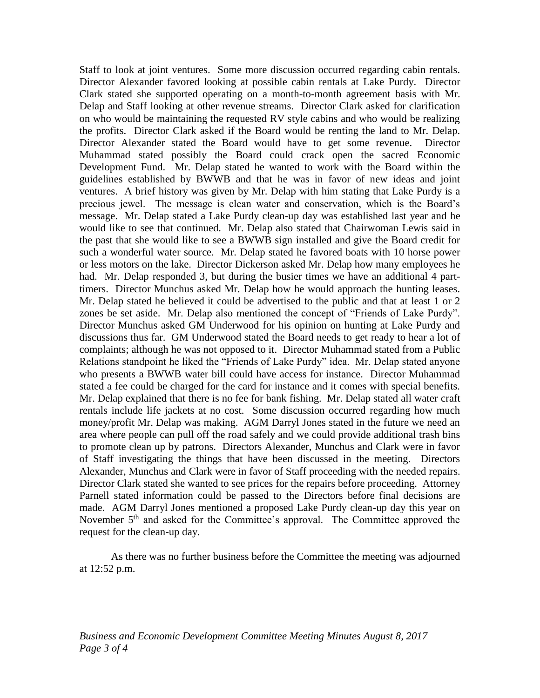Staff to look at joint ventures. Some more discussion occurred regarding cabin rentals. Director Alexander favored looking at possible cabin rentals at Lake Purdy. Director Clark stated she supported operating on a month-to-month agreement basis with Mr. Delap and Staff looking at other revenue streams. Director Clark asked for clarification on who would be maintaining the requested RV style cabins and who would be realizing the profits. Director Clark asked if the Board would be renting the land to Mr. Delap. Director Alexander stated the Board would have to get some revenue. Director Muhammad stated possibly the Board could crack open the sacred Economic Development Fund. Mr. Delap stated he wanted to work with the Board within the guidelines established by BWWB and that he was in favor of new ideas and joint ventures. A brief history was given by Mr. Delap with him stating that Lake Purdy is a precious jewel. The message is clean water and conservation, which is the Board's message. Mr. Delap stated a Lake Purdy clean-up day was established last year and he would like to see that continued. Mr. Delap also stated that Chairwoman Lewis said in the past that she would like to see a BWWB sign installed and give the Board credit for such a wonderful water source. Mr. Delap stated he favored boats with 10 horse power or less motors on the lake. Director Dickerson asked Mr. Delap how many employees he had. Mr. Delap responded 3, but during the busier times we have an additional 4 parttimers. Director Munchus asked Mr. Delap how he would approach the hunting leases. Mr. Delap stated he believed it could be advertised to the public and that at least 1 or 2 zones be set aside. Mr. Delap also mentioned the concept of "Friends of Lake Purdy". Director Munchus asked GM Underwood for his opinion on hunting at Lake Purdy and discussions thus far. GM Underwood stated the Board needs to get ready to hear a lot of complaints; although he was not opposed to it. Director Muhammad stated from a Public Relations standpoint he liked the "Friends of Lake Purdy" idea. Mr. Delap stated anyone who presents a BWWB water bill could have access for instance. Director Muhammad stated a fee could be charged for the card for instance and it comes with special benefits. Mr. Delap explained that there is no fee for bank fishing. Mr. Delap stated all water craft rentals include life jackets at no cost. Some discussion occurred regarding how much money/profit Mr. Delap was making. AGM Darryl Jones stated in the future we need an area where people can pull off the road safely and we could provide additional trash bins to promote clean up by patrons. Directors Alexander, Munchus and Clark were in favor of Staff investigating the things that have been discussed in the meeting. Directors Alexander, Munchus and Clark were in favor of Staff proceeding with the needed repairs. Director Clark stated she wanted to see prices for the repairs before proceeding. Attorney Parnell stated information could be passed to the Directors before final decisions are made. AGM Darryl Jones mentioned a proposed Lake Purdy clean-up day this year on November 5<sup>th</sup> and asked for the Committee's approval. The Committee approved the request for the clean-up day.

As there was no further business before the Committee the meeting was adjourned at 12:52 p.m.